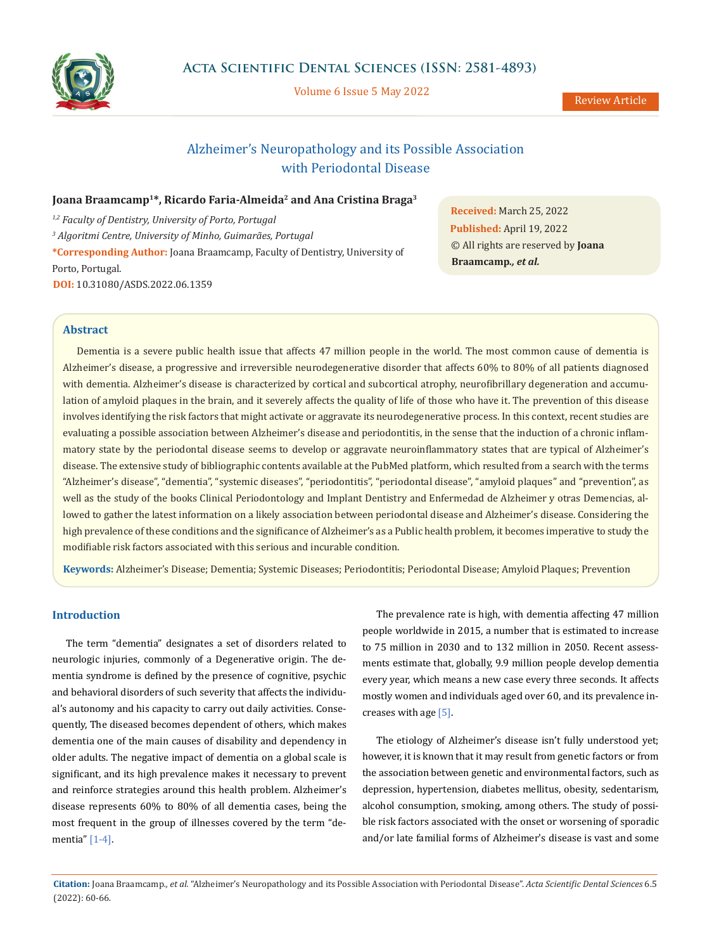

Volume 6 Issue 5 May 2022

# Alzheimer's Neuropathology and its Possible Association with Periodontal Disease

## Joana Braamcamp<sup>1\*</sup>, Ricardo Faria-Almeida<sup>2</sup> and Ana Cristina Braga<sup>3</sup>

*1,2 Faculty of Dentistry, University of Porto, Portugal <sup>3</sup> Algoritmi Centre, University of Minho, Guimarães, Portugal* **\*Corresponding Author:** Joana Braamcamp, Faculty of Dentistry, University of Porto, Portugal. **DOI:** [10.31080/ASDS.2022.06.1359](https://actascientific.com/ASDS/pdf/ASDS-06-1359.pdf)

**Received:** March 25, 2022 **Published:** April 19, 2022 © All rights are reserved by **Joana Braamcamp***., et al.*

## **Abstract**

Dementia is a severe public health issue that affects 47 million people in the world. The most common cause of dementia is Alzheimer's disease, a progressive and irreversible neurodegenerative disorder that affects 60% to 80% of all patients diagnosed with dementia. Alzheimer's disease is characterized by cortical and subcortical atrophy, neurofibrillary degeneration and accumulation of amyloid plaques in the brain, and it severely affects the quality of life of those who have it. The prevention of this disease involves identifying the risk factors that might activate or aggravate its neurodegenerative process. In this context, recent studies are evaluating a possible association between Alzheimer's disease and periodontitis, in the sense that the induction of a chronic inflammatory state by the periodontal disease seems to develop or aggravate neuroinflammatory states that are typical of Alzheimer's disease. The extensive study of bibliographic contents available at the PubMed platform, which resulted from a search with the terms "Alzheimer's disease", "dementia", "systemic diseases", "periodontitis", "periodontal disease", "amyloid plaques" and "prevention", as well as the study of the books Clinical Periodontology and Implant Dentistry and Enfermedad de Alzheimer y otras Demencias, allowed to gather the latest information on a likely association between periodontal disease and Alzheimer's disease. Considering the high prevalence of these conditions and the significance of Alzheimer's as a Public health problem, it becomes imperative to study the modifiable risk factors associated with this serious and incurable condition.

**Keywords:** Alzheimer's Disease; Dementia; Systemic Diseases; Periodontitis; Periodontal Disease; Amyloid Plaques; Prevention

### **Introduction**

The term "dementia" designates a set of disorders related to neurologic injuries, commonly of a Degenerative origin. The dementia syndrome is defined by the presence of cognitive, psychic and behavioral disorders of such severity that affects the individual's autonomy and his capacity to carry out daily activities. Consequently, The diseased becomes dependent of others, which makes dementia one of the main causes of disability and dependency in older adults. The negative impact of dementia on a global scale is significant, and its high prevalence makes it necessary to prevent and reinforce strategies around this health problem. Alzheimer's disease represents 60% to 80% of all dementia cases, being the most frequent in the group of illnesses covered by the term "dementia" [1-4].

The prevalence rate is high, with dementia affecting 47 million people worldwide in 2015, a number that is estimated to increase to 75 million in 2030 and to 132 million in 2050. Recent assessments estimate that, globally, 9.9 million people develop dementia every year, which means a new case every three seconds. It affects mostly women and individuals aged over 60, and its prevalence increases with age [5].

The etiology of Alzheimer's disease isn't fully understood yet; however, it is known that it may result from genetic factors or from the association between genetic and environmental factors, such as depression, hypertension, diabetes mellitus, obesity, sedentarism, alcohol consumption, smoking, among others. The study of possible risk factors associated with the onset or worsening of sporadic and/or late familial forms of Alzheimer's disease is vast and some

**Citation:** Joana Braamcamp*., et al.* "Alzheimer's Neuropathology and its Possible Association with Periodontal Disease". *Acta Scientific Dental Sciences* 6.5 (2022): 60-66.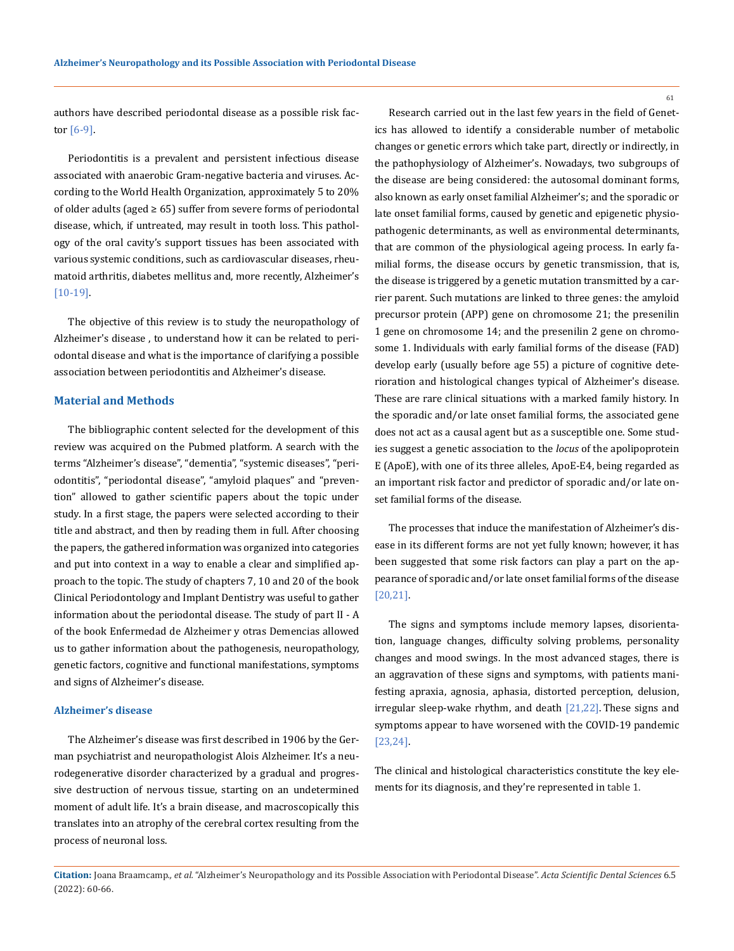authors have described periodontal disease as a possible risk factor [6-9].

Periodontitis is a prevalent and persistent infectious disease associated with anaerobic Gram-negative bacteria and viruses. According to the World Health Organization, approximately 5 to 20% of older adults (aged  $\geq 65$ ) suffer from severe forms of periodontal disease, which, if untreated, may result in tooth loss. This pathology of the oral cavity's support tissues has been associated with various systemic conditions, such as cardiovascular diseases, rheumatoid arthritis, diabetes mellitus and, more recently, Alzheimer's [10-19].

The objective of this review is to study the neuropathology of Alzheimer's disease , to understand how it can be related to periodontal disease and what is the importance of clarifying a possible association between periodontitis and Alzheimer's disease.

#### **Material and Methods**

The bibliographic content selected for the development of this review was acquired on the Pubmed platform. A search with the terms "Alzheimer's disease", "dementia", "systemic diseases", "periodontitis", "periodontal disease", "amyloid plaques" and "prevention" allowed to gather scientific papers about the topic under study. In a first stage, the papers were selected according to their title and abstract, and then by reading them in full. After choosing the papers, the gathered information was organized into categories and put into context in a way to enable a clear and simplified approach to the topic. The study of chapters 7, 10 and 20 of the book Clinical Periodontology and Implant Dentistry was useful to gather information about the periodontal disease. The study of part II - A of the book Enfermedad de Alzheimer y otras Demencias allowed us to gather information about the pathogenesis, neuropathology, genetic factors, cognitive and functional manifestations, symptoms and signs of Alzheimer's disease.

#### **Alzheimer's disease**

The Alzheimer's disease was first described in 1906 by the German psychiatrist and neuropathologist Alois Alzheimer. It's a neurodegenerative disorder characterized by a gradual and progressive destruction of nervous tissue, starting on an undetermined moment of adult life. It's a brain disease, and macroscopically this translates into an atrophy of the cerebral cortex resulting from the process of neuronal loss.

Research carried out in the last few years in the field of Genetics has allowed to identify a considerable number of metabolic changes or genetic errors which take part, directly or indirectly, in the pathophysiology of Alzheimer's. Nowadays, two subgroups of the disease are being considered: the autosomal dominant forms, also known as early onset familial Alzheimer's; and the sporadic or late onset familial forms, caused by genetic and epigenetic physiopathogenic determinants, as well as environmental determinants, that are common of the physiological ageing process. In early familial forms, the disease occurs by genetic transmission, that is, the disease is triggered by a genetic mutation transmitted by a carrier parent. Such mutations are linked to three genes: the amyloid precursor protein (APP) gene on chromosome 21; the presenilin 1 gene on chromosome 14; and the presenilin 2 gene on chromosome 1. Individuals with early familial forms of the disease (FAD) develop early (usually before age 55) a picture of cognitive deterioration and histological changes typical of Alzheimer's disease. These are rare clinical situations with a marked family history. In the sporadic and/or late onset familial forms, the associated gene does not act as a causal agent but as a susceptible one. Some studies suggest a genetic association to the *locus* of the apolipoprotein E (ApoE), with one of its three alleles, ApoE-E4, being regarded as an important risk factor and predictor of sporadic and/or late onset familial forms of the disease.

The processes that induce the manifestation of Alzheimer's disease in its different forms are not yet fully known; however, it has been suggested that some risk factors can play a part on the appearance of sporadic and/or late onset familial forms of the disease [20,21].

The signs and symptoms include memory lapses, disorientation, language changes, difficulty solving problems, personality changes and mood swings. In the most advanced stages, there is an aggravation of these signs and symptoms, with patients manifesting apraxia, agnosia, aphasia, distorted perception, delusion, irregular sleep-wake rhythm, and death [21,22]. These signs and symptoms appear to have worsened with the COVID-19 pandemic [23,24].

The clinical and histological characteristics constitute the key elements for its diagnosis, and they're represented in table 1.

**Citation:** Joana Braamcamp*., et al.* "Alzheimer's Neuropathology and its Possible Association with Periodontal Disease". *Acta Scientific Dental Sciences* 6.5 (2022): 60-66.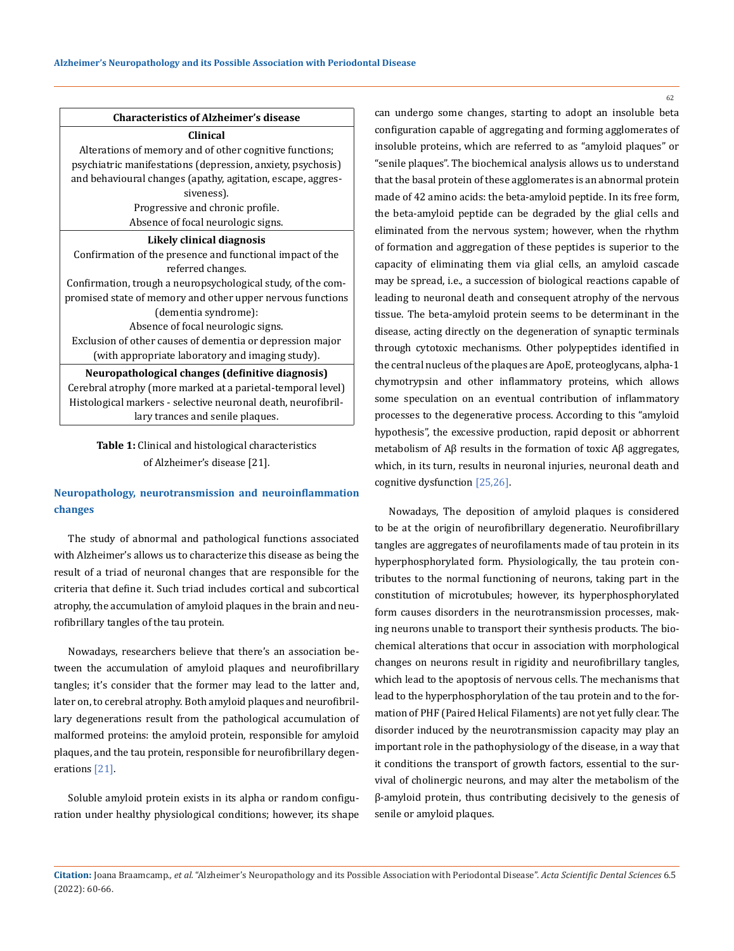### **Characteristics of Alzheimer's disease**

**Clinical** Alterations of memory and of other cognitive functions; psychiatric manifestations (depression, anxiety, psychosis) and behavioural changes (apathy, agitation, escape, aggressiveness). Progressive and chronic profile. Absence of focal neurologic signs.

#### **Likely clinical diagnosis**

Confirmation of the presence and functional impact of the referred changes.

Confirmation, trough a neuropsychological study, of the compromised state of memory and other upper nervous functions (dementia syndrome): Absence of focal neurologic signs. Exclusion of other causes of dementia or depression major

(with appropriate laboratory and imaging study).

**Neuropathological changes (definitive diagnosis)** Cerebral atrophy (more marked at a parietal-temporal level) Histological markers - selective neuronal death, neurofibrillary trances and senile plaques.

**Table 1:** Clinical and histological characteristics of Alzheimer's disease [21].

## **Neuropathology, neurotransmission and neuroinflammation changes**

The study of abnormal and pathological functions associated with Alzheimer's allows us to characterize this disease as being the result of a triad of neuronal changes that are responsible for the criteria that define it. Such triad includes cortical and subcortical atrophy, the accumulation of amyloid plaques in the brain and neurofibrillary tangles of the tau protein.

Nowadays, researchers believe that there's an association between the accumulation of amyloid plaques and neurofibrillary tangles; it's consider that the former may lead to the latter and, later on, to cerebral atrophy. Both amyloid plaques and neurofibrillary degenerations result from the pathological accumulation of malformed proteins: the amyloid protein, responsible for amyloid plaques, and the tau protein, responsible for neurofibrillary degenerations [21].

Soluble amyloid protein exists in its alpha or random configuration under healthy physiological conditions; however, its shape can undergo some changes, starting to adopt an insoluble beta configuration capable of aggregating and forming agglomerates of insoluble proteins, which are referred to as "amyloid plaques" or "senile plaques". The biochemical analysis allows us to understand that the basal protein of these agglomerates is an abnormal protein made of 42 amino acids: the beta-amyloid peptide. In its free form, the beta-amyloid peptide can be degraded by the glial cells and eliminated from the nervous system; however, when the rhythm of formation and aggregation of these peptides is superior to the capacity of eliminating them via glial cells, an amyloid cascade may be spread, i.e., a succession of biological reactions capable of leading to neuronal death and consequent atrophy of the nervous tissue. The beta-amyloid protein seems to be determinant in the disease, acting directly on the degeneration of synaptic terminals through cytotoxic mechanisms. Other polypeptides identified in the central nucleus of the plaques are ApoE, proteoglycans, alpha-1 chymotrypsin and other inflammatory proteins, which allows some speculation on an eventual contribution of inflammatory processes to the degenerative process. According to this "amyloid hypothesis", the excessive production, rapid deposit or abhorrent metabolism of Aβ results in the formation of toxic Aβ aggregates, which, in its turn, results in neuronal injuries, neuronal death and cognitive dysfunction [25,26].

Nowadays, The deposition of amyloid plaques is considered to be at the origin of neurofibrillary degeneratio. Neurofibrillary tangles are aggregates of neurofilaments made of tau protein in its hyperphosphorylated form. Physiologically, the tau protein contributes to the normal functioning of neurons, taking part in the constitution of microtubules; however, its hyperphosphorylated form causes disorders in the neurotransmission processes, making neurons unable to transport their synthesis products. The biochemical alterations that occur in association with morphological changes on neurons result in rigidity and neurofibrillary tangles, which lead to the apoptosis of nervous cells. The mechanisms that lead to the hyperphosphorylation of the tau protein and to the formation of PHF (Paired Helical Filaments) are not yet fully clear. The disorder induced by the neurotransmission capacity may play an important role in the pathophysiology of the disease, in a way that it conditions the transport of growth factors, essential to the survival of cholinergic neurons, and may alter the metabolism of the β-amyloid protein, thus contributing decisively to the genesis of senile or amyloid plaques.

**Citation:** Joana Braamcamp*., et al.* "Alzheimer's Neuropathology and its Possible Association with Periodontal Disease". *Acta Scientific Dental Sciences* 6.5 (2022): 60-66.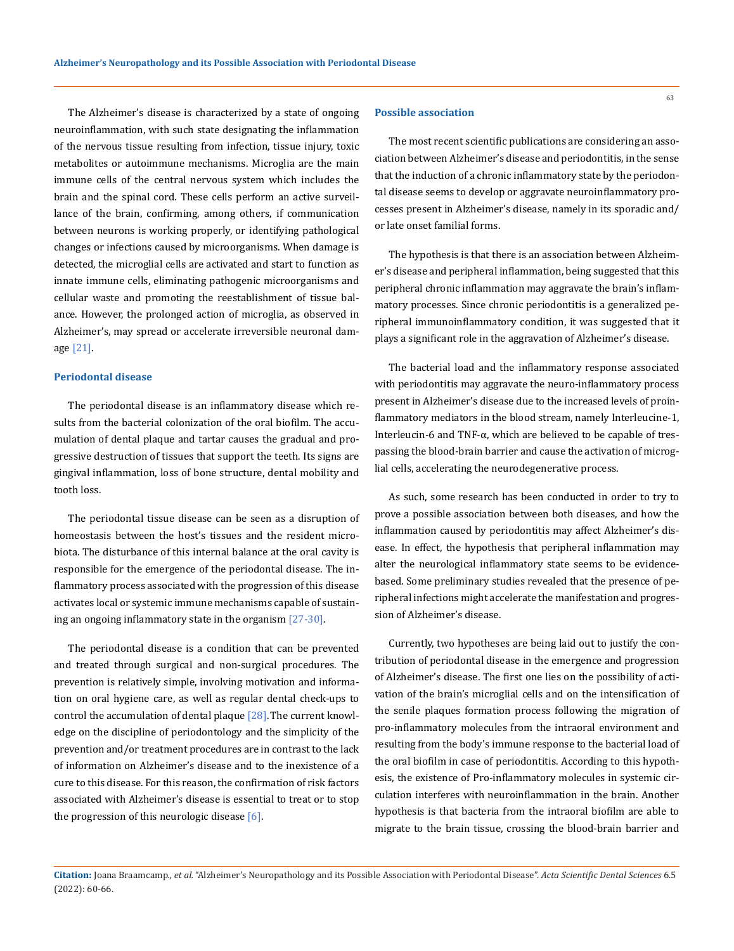The Alzheimer's disease is characterized by a state of ongoing neuroinflammation, with such state designating the inflammation of the nervous tissue resulting from infection, tissue injury, toxic metabolites or autoimmune mechanisms. Microglia are the main immune cells of the central nervous system which includes the brain and the spinal cord. These cells perform an active surveillance of the brain, confirming, among others, if communication between neurons is working properly, or identifying pathological changes or infections caused by microorganisms. When damage is detected, the microglial cells are activated and start to function as innate immune cells, eliminating pathogenic microorganisms and cellular waste and promoting the reestablishment of tissue balance. However, the prolonged action of microglia, as observed in Alzheimer's, may spread or accelerate irreversible neuronal damage [21].

## **Periodontal disease**

The periodontal disease is an inflammatory disease which results from the bacterial colonization of the oral biofilm. The accumulation of dental plaque and tartar causes the gradual and progressive destruction of tissues that support the teeth. Its signs are gingival inflammation, loss of bone structure, dental mobility and tooth loss.

The periodontal tissue disease can be seen as a disruption of homeostasis between the host's tissues and the resident microbiota. The disturbance of this internal balance at the oral cavity is responsible for the emergence of the periodontal disease. The inflammatory process associated with the progression of this disease activates local or systemic immune mechanisms capable of sustaining an ongoing inflammatory state in the organism [27-30].

The periodontal disease is a condition that can be prevented and treated through surgical and non-surgical procedures. The prevention is relatively simple, involving motivation and information on oral hygiene care, as well as regular dental check-ups to control the accumulation of dental plaque [28].The current knowledge on the discipline of periodontology and the simplicity of the prevention and/or treatment procedures are in contrast to the lack of information on Alzheimer's disease and to the inexistence of a cure to this disease. For this reason, the confirmation of risk factors associated with Alzheimer's disease is essential to treat or to stop the progression of this neurologic disease  $[6]$ .

#### **Possible association**

The most recent scientific publications are considering an association between Alzheimer's disease and periodontitis, in the sense that the induction of a chronic inflammatory state by the periodontal disease seems to develop or aggravate neuroinflammatory processes present in Alzheimer's disease, namely in its sporadic and/ or late onset familial forms.

The hypothesis is that there is an association between Alzheimer's disease and peripheral inflammation, being suggested that this peripheral chronic inflammation may aggravate the brain's inflammatory processes. Since chronic periodontitis is a generalized peripheral immunoinflammatory condition, it was suggested that it plays a significant role in the aggravation of Alzheimer's disease.

The bacterial load and the inflammatory response associated with periodontitis may aggravate the neuro-inflammatory process present in Alzheimer's disease due to the increased levels of proinflammatory mediators in the blood stream, namely Interleucine-1, Interleucin-6 and TNF-α, which are believed to be capable of trespassing the blood-brain barrier and cause the activation of microglial cells, accelerating the neurodegenerative process.

As such, some research has been conducted in order to try to prove a possible association between both diseases, and how the inflammation caused by periodontitis may affect Alzheimer's disease. In effect, the hypothesis that peripheral inflammation may alter the neurological inflammatory state seems to be evidencebased. Some preliminary studies revealed that the presence of peripheral infections might accelerate the manifestation and progression of Alzheimer's disease.

Currently, two hypotheses are being laid out to justify the contribution of periodontal disease in the emergence and progression of Alzheimer's disease. The first one lies on the possibility of activation of the brain's microglial cells and on the intensification of the senile plaques formation process following the migration of pro-inflammatory molecules from the intraoral environment and resulting from the body's immune response to the bacterial load of the oral biofilm in case of periodontitis. According to this hypothesis, the existence of Pro-inflammatory molecules in systemic circulation interferes with neuroinflammation in the brain. Another hypothesis is that bacteria from the intraoral biofilm are able to migrate to the brain tissue, crossing the blood-brain barrier and

**Citation:** Joana Braamcamp*., et al.* "Alzheimer's Neuropathology and its Possible Association with Periodontal Disease". *Acta Scientific Dental Sciences* 6.5 (2022): 60-66.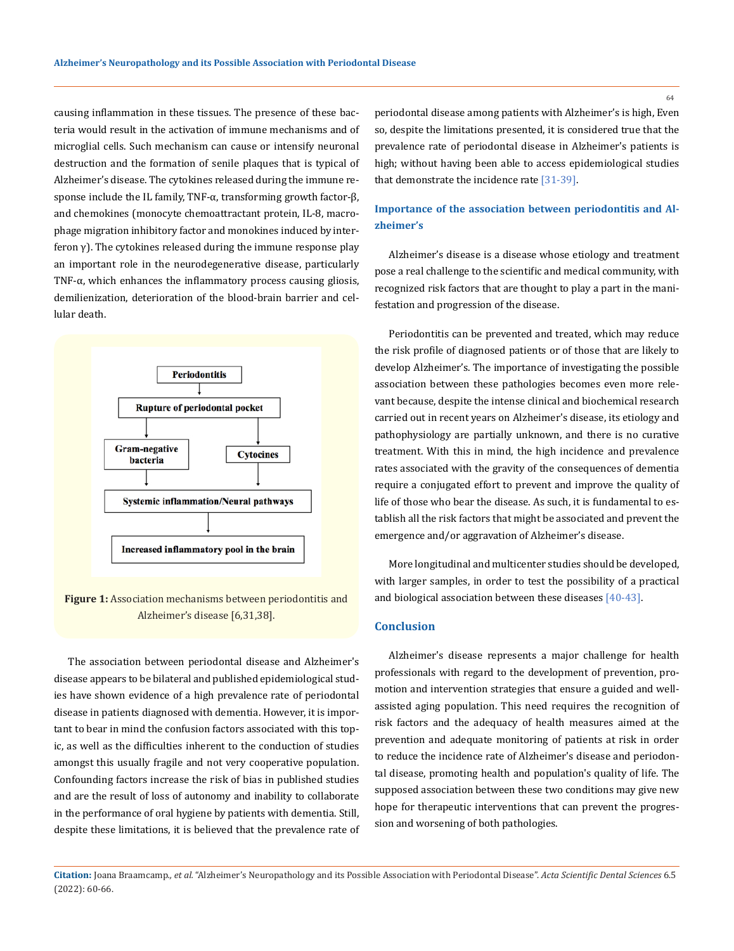causing inflammation in these tissues. The presence of these bacteria would result in the activation of immune mechanisms and of microglial cells. Such mechanism can cause or intensify neuronal destruction and the formation of senile plaques that is typical of Alzheimer's disease. The cytokines released during the immune response include the IL family, TNF-α, transforming growth factor-β, and chemokines (monocyte chemoattractant protein, IL-8, macrophage migration inhibitory factor and monokines induced by interferon γ). The cytokines released during the immune response play an important role in the neurodegenerative disease, particularly TNF-α, which enhances the inflammatory process causing gliosis, demilienization, deterioration of the blood-brain barrier and cellular death.



Figure 1: Association mechanisms between periodontitis and Alzheimer's disease [6,31,38].

The association between periodontal disease and Alzheimer's disease appears to be bilateral and published epidemiological studies have shown evidence of a high prevalence rate of periodontal disease in patients diagnosed with dementia. However, it is important to bear in mind the confusion factors associated with this topic, as well as the difficulties inherent to the conduction of studies amongst this usually fragile and not very cooperative population. Confounding factors increase the risk of bias in published studies and are the result of loss of autonomy and inability to collaborate in the performance of oral hygiene by patients with dementia. Still, despite these limitations, it is believed that the prevalence rate of periodontal disease among patients with Alzheimer's is high, Even so, despite the limitations presented, it is considered true that the prevalence rate of periodontal disease in Alzheimer's patients is high; without having been able to access epidemiological studies that demonstrate the incidence rate [31-39].

## **Importance of the association between periodontitis and Alzheimer's**

Alzheimer's disease is a disease whose etiology and treatment pose a real challenge to the scientific and medical community, with recognized risk factors that are thought to play a part in the manifestation and progression of the disease.

Periodontitis can be prevented and treated, which may reduce the risk profile of diagnosed patients or of those that are likely to develop Alzheimer's. The importance of investigating the possible association between these pathologies becomes even more relevant because, despite the intense clinical and biochemical research carried out in recent years on Alzheimer's disease, its etiology and pathophysiology are partially unknown, and there is no curative treatment. With this in mind, the high incidence and prevalence rates associated with the gravity of the consequences of dementia require a conjugated effort to prevent and improve the quality of life of those who bear the disease. As such, it is fundamental to establish all the risk factors that might be associated and prevent the emergence and/or aggravation of Alzheimer's disease.

More longitudinal and multicenter studies should be developed, with larger samples, in order to test the possibility of a practical and biological association between these diseases [40-43].

## **Conclusion**

Alzheimer's disease represents a major challenge for health professionals with regard to the development of prevention, promotion and intervention strategies that ensure a guided and wellassisted aging population. This need requires the recognition of risk factors and the adequacy of health measures aimed at the prevention and adequate monitoring of patients at risk in order to reduce the incidence rate of Alzheimer's disease and periodontal disease, promoting health and population's quality of life. The supposed association between these two conditions may give new hope for therapeutic interventions that can prevent the progression and worsening of both pathologies.

**Citation:** Joana Braamcamp*., et al.* "Alzheimer's Neuropathology and its Possible Association with Periodontal Disease". *Acta Scientific Dental Sciences* 6.5 (2022): 60-66.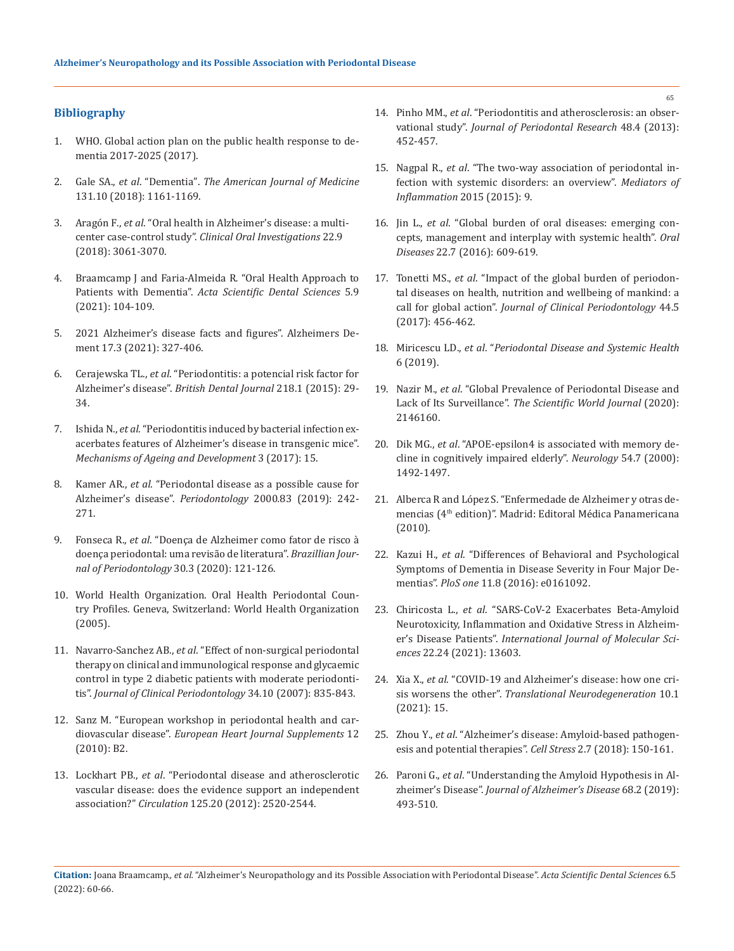## **Bibliography**

- 1. [WHO. Global action plan on the public health response to de](file:///F:/Acta/ASDS/ASDS-22-RA-076/1.%09WHO.%20Global%20action%20plan%20on%20the%20public%20health%20response%20to%20dementia%202017-2025%20(2017).)[mentia 2017-2025 \(2017\).](file:///F:/Acta/ASDS/ASDS-22-RA-076/1.%09WHO.%20Global%20action%20plan%20on%20the%20public%20health%20response%20to%20dementia%202017-2025%20(2017).)
- 2. Gale SA., *et al*. "Dementia". *[The American Journal of Medicine](https://pubmed.ncbi.nlm.nih.gov/29425707/)*  [131.10 \(2018\): 1161-1169.](https://pubmed.ncbi.nlm.nih.gov/29425707/)
- 3. Aragón F., *et al*[. "Oral health in Alzheimer's disease: a multi](https://pubmed.ncbi.nlm.nih.gov/29476334/)center case-control study". *[Clinical Oral Investigations](https://pubmed.ncbi.nlm.nih.gov/29476334/)* 22.9 [\(2018\): 3061-3070.](https://pubmed.ncbi.nlm.nih.gov/29476334/)
- 4. [Braamcamp J and Faria-Almeida R](https://www.researchgate.net/publication/354101238_Oral_Health_Approach_to_Patients_with_Dementia)*.* "Oral Health Approach to Patients with Dementia". *[Acta Scientific Dental Sciences](https://www.researchgate.net/publication/354101238_Oral_Health_Approach_to_Patients_with_Dementia)* 5.9 [\(2021\): 104-109.](https://www.researchgate.net/publication/354101238_Oral_Health_Approach_to_Patients_with_Dementia)
- 5. [2021 Alzheimer's disease facts and figures". Alzheimers De](https://pubmed.ncbi.nlm.nih.gov/33756057/)[ment 17.3 \(2021\): 327-406.](https://pubmed.ncbi.nlm.nih.gov/33756057/)
- 6. Cerajewska TL., *et al*[. "Periodontitis: a potencial risk factor for](https://pubmed.ncbi.nlm.nih.gov/25571822/) Alzheimer's disease". *[British Dental Journal](https://pubmed.ncbi.nlm.nih.gov/25571822/)* 218.1 (2015): 29- [34.](https://pubmed.ncbi.nlm.nih.gov/25571822/)
- 7. Ishida N., *et al*[. "Periodontitis induced by bacterial infection ex](https://www.nature.com/articles/s41514-017-0015-x)[acerbates features of Alzheimer's disease in transgenic mice".](https://www.nature.com/articles/s41514-017-0015-x) *[Mechanisms of Ageing and Development](https://www.nature.com/articles/s41514-017-0015-x)* 3 (2017): 15.
- 8. Kamer AR., *et al*[. "Periodontal disease as a possible cause for](https://pubmed.ncbi.nlm.nih.gov/32385876/) [Alzheimer's disease".](https://pubmed.ncbi.nlm.nih.gov/32385876/) *Periodontology* 2000*.*83 (2019): 242- [271.](https://pubmed.ncbi.nlm.nih.gov/32385876/)
- 9. Fonseca R., *et al*[. "Doença de Alzheimer como fator de risco à](http://www.interativamix.com.br/SOBRAPE/arquivos/2020/marco_junho/REVPERIO%20MARCH-JUN-2020%20-%20COMPLETO%20ALTA%20RESOLU%C3%87%C3%83O%20-%2006-10-2020-119-124.pdf) [doença periodontal: uma revisão de literatura".](http://www.interativamix.com.br/SOBRAPE/arquivos/2020/marco_junho/REVPERIO%20MARCH-JUN-2020%20-%20COMPLETO%20ALTA%20RESOLU%C3%87%C3%83O%20-%2006-10-2020-119-124.pdf) *Brazillian Jour[nal of Periodontology](http://www.interativamix.com.br/SOBRAPE/arquivos/2020/marco_junho/REVPERIO%20MARCH-JUN-2020%20-%20COMPLETO%20ALTA%20RESOLU%C3%87%C3%83O%20-%2006-10-2020-119-124.pdf)* 30.3 (2020): 121-126.
- 10. World Health Organization. Oral Health Periodontal Country Profiles*.* Geneva, Switzerland: World Health Organization (2005).
- 11. Navarro-Sanchez AB., *et al*[. "Effect of non-surgical periodontal](https://pubmed.ncbi.nlm.nih.gov/17850602/) [therapy on clinical and immunological response and glycaemic](https://pubmed.ncbi.nlm.nih.gov/17850602/) [control in type 2 diabetic patients with moderate periodonti](https://pubmed.ncbi.nlm.nih.gov/17850602/)tis". *[Journal of Clinical Periodontology](https://pubmed.ncbi.nlm.nih.gov/17850602/)* 34.10 (2007): 835-843.
- 12. [Sanz M. "European workshop in periodontal health and car](https://academic.oup.com/eurheartjsupp/article/12/suppl_B/B3/386703)diovascular disease". *[European Heart Journal Supplements](https://academic.oup.com/eurheartjsupp/article/12/suppl_B/B3/386703)* 12 [\(2010\): B2.](https://academic.oup.com/eurheartjsupp/article/12/suppl_B/B3/386703)
- 13. Lockhart PB., *et al*[. "Periodontal disease and atherosclerotic](https://www.ahajournals.org/doi/full/10.1161/CIR.0b013e31825719f3) [vascular disease: does the evidence support an independent](https://www.ahajournals.org/doi/full/10.1161/CIR.0b013e31825719f3) association?" *Circulation* [125.20 \(2012\): 2520-2544.](https://www.ahajournals.org/doi/full/10.1161/CIR.0b013e31825719f3)
- 14. Pinho MM., *et al*[. "Periodontitis and atherosclerosis: an obser](https://pubmed.ncbi.nlm.nih.gov/23278448/)vational study". *[Journal of Periodontal Research](https://pubmed.ncbi.nlm.nih.gov/23278448/)* 48.4 (2013): [452-457.](https://pubmed.ncbi.nlm.nih.gov/23278448/)
- 15. Nagpal R., *et al*[. "The two-way association of periodontal in](https://pubmed.ncbi.nlm.nih.gov/26339142/)[fection with systemic disorders: an overview".](https://pubmed.ncbi.nlm.nih.gov/26339142/) *Mediators of [Inflammation](https://pubmed.ncbi.nlm.nih.gov/26339142/)* 2015 (2015): 9.
- 16. Jin L., *et al*[. "Global burden of oral diseases: emerging con](https://pubmed.ncbi.nlm.nih.gov/26704694/)[cepts, management and interplay with systemic health".](https://pubmed.ncbi.nlm.nih.gov/26704694/) *Oral Diseases* [22.7 \(2016\): 609-619.](https://pubmed.ncbi.nlm.nih.gov/26704694/)
- 17. Tonetti MS., *et al*[. "Impact of the global burden of periodon](https://pubmed.ncbi.nlm.nih.gov/28419559/)[tal diseases on health, nutrition and wellbeing of mankind: a](https://pubmed.ncbi.nlm.nih.gov/28419559/)  call for global action". *[Journal of Clinical Periodontology](https://pubmed.ncbi.nlm.nih.gov/28419559/)* 44.5 [\(2017\): 456-462.](https://pubmed.ncbi.nlm.nih.gov/28419559/)
- 18. Miricescu LD., *et al*. "*Periodontal Disease and Systemic Health* 6 (2019).
- 19. Nazir M., *et al*[. "Global Prevalence of Periodontal Disease and](https://pubmed.ncbi.nlm.nih.gov/32549797/) Lack of Its Surveillance". *[The Scientific World Journal](https://pubmed.ncbi.nlm.nih.gov/32549797/)* (2020): [2146160.](https://pubmed.ncbi.nlm.nih.gov/32549797/)
- 20. Dik MG., *et al*[. "APOE-epsilon4 is associated with memory de](https://pubmed.ncbi.nlm.nih.gov/10751265/)[cline in cognitively impaired elderly".](https://pubmed.ncbi.nlm.nih.gov/10751265/) *Neurology* 54.7 (2000): [1492-1497.](https://pubmed.ncbi.nlm.nih.gov/10751265/)
- 21. [Alberca R and López S. "Enfermedade de Alzheimer y otras de](https://www.medicapanamericana.com/es/libro/enfermedad-de-alzheimer-y-otras-demencias)mencias (4<sup>th</sup> edition)". Madrid: Editoral Médica Panamericana [\(2010\).](https://www.medicapanamericana.com/es/libro/enfermedad-de-alzheimer-y-otras-demencias)
- 22. Kazui H., *et al*[. "Differences of Behavioral and Psychological](https://pubmed.ncbi.nlm.nih.gov/27536962/)  [Symptoms of Dementia in Disease Severity in Four Major De](https://pubmed.ncbi.nlm.nih.gov/27536962/)mentias". *PloS one* [11.8 \(2016\): e0161092.](https://pubmed.ncbi.nlm.nih.gov/27536962/)
- 23. Chiricosta L., *et al*[. "SARS-CoV-2 Exacerbates Beta-Amyloid](https://pubmed.ncbi.nlm.nih.gov/34948400/) [Neurotoxicity, Inflammation and Oxidative Stress in Alzheim](https://pubmed.ncbi.nlm.nih.gov/34948400/)er's Disease Patients". *[International Journal of Molecular Sci](https://pubmed.ncbi.nlm.nih.gov/34948400/)ences* [22.24 \(2021\): 13603.](https://pubmed.ncbi.nlm.nih.gov/34948400/)
- 24. Xia X., *et al*[. "COVID-19 and Alzheimer's disease: how one cri](https://translationalneurodegeneration.biomedcentral.com/articles/10.1186/s40035-021-00237-2)sis worsens the other". *[Translational Neurodegeneration](https://translationalneurodegeneration.biomedcentral.com/articles/10.1186/s40035-021-00237-2)* 10.1 [\(2021\): 15.](https://translationalneurodegeneration.biomedcentral.com/articles/10.1186/s40035-021-00237-2)
- 25. Zhou Y., *et al*[. "Alzheimer's disease: Amyloid-based pathogen](https://pubmed.ncbi.nlm.nih.gov/31225482/)[esis and potential therapies".](https://pubmed.ncbi.nlm.nih.gov/31225482/) *Cell Stress* 2.7 (2018): 150-161.
- 26. Paroni G., *et al*[. "Understanding the Amyloid Hypothesis in Al](https://pubmed.ncbi.nlm.nih.gov/30883346/)zheimer's Disease". *[Journal of Alzheimer's Disease](https://pubmed.ncbi.nlm.nih.gov/30883346/)* 68.2 (2019): [493-510.](https://pubmed.ncbi.nlm.nih.gov/30883346/)

**Citation:** Joana Braamcamp*., et al.* "Alzheimer's Neuropathology and its Possible Association with Periodontal Disease". *Acta Scientific Dental Sciences* 6.5 (2022): 60-66.